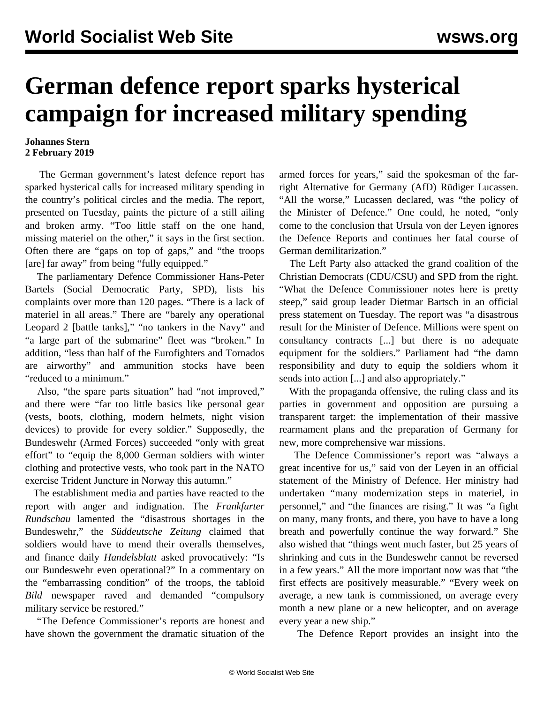## **German defence report sparks hysterical campaign for increased military spending**

## **Johannes Stern 2 February 2019**

 The German government's latest defence report has sparked hysterical calls for increased military spending in the country's political circles and the media. The report, presented on Tuesday, paints the picture of a still ailing and broken army. "Too little staff on the one hand, missing materiel on the other," it says in the first section. Often there are "gaps on top of gaps," and "the troops [are] far away" from being "fully equipped."

 The parliamentary Defence Commissioner Hans-Peter Bartels (Social Democratic Party, SPD), lists his complaints over more than 120 pages. "There is a lack of materiel in all areas." There are "barely any operational Leopard 2 [battle tanks]," "no tankers in the Navy" and "a large part of the submarine" fleet was "broken." In addition, "less than half of the Eurofighters and Tornados are airworthy" and ammunition stocks have been "reduced to a minimum."

 Also, "the spare parts situation" had "not improved," and there were "far too little basics like personal gear (vests, boots, clothing, modern helmets, night vision devices) to provide for every soldier." Supposedly, the Bundeswehr (Armed Forces) succeeded "only with great effort" to "equip the 8,000 German soldiers with winter clothing and protective vests, who took part in the NATO exercise Trident Juncture in Norway this autumn."

 The establishment media and parties have reacted to the report with anger and indignation. The *Frankfurter Rundschau* lamented the "disastrous shortages in the Bundeswehr," the *Süddeutsche Zeitung* claimed that soldiers would have to mend their overalls themselves, and finance daily *Handelsblatt* asked provocatively: "Is our Bundeswehr even operational?" In a commentary on the "embarrassing condition" of the troops, the tabloid *Bild* newspaper raved and demanded "compulsory military service be restored."

 "The Defence Commissioner's reports are honest and have shown the government the dramatic situation of the

armed forces for years," said the spokesman of the farright Alternative for Germany (AfD) Rüdiger Lucassen. "All the worse," Lucassen declared, was "the policy of the Minister of Defence." One could, he noted, "only come to the conclusion that Ursula von der Leyen ignores the Defence Reports and continues her fatal course of German demilitarization."

 The Left Party also attacked the grand coalition of the Christian Democrats (CDU/CSU) and SPD from the right. "What the Defence Commissioner notes here is pretty steep," said group leader Dietmar Bartsch in an official press statement on Tuesday. The report was "a disastrous result for the Minister of Defence. Millions were spent on consultancy contracts [...] but there is no adequate equipment for the soldiers." Parliament had "the damn responsibility and duty to equip the soldiers whom it sends into action [...] and also appropriately."

 With the propaganda offensive, the ruling class and its parties in government and opposition are pursuing a transparent target: the implementation of their massive rearmament plans and the preparation of Germany for new, more comprehensive war missions.

 The Defence Commissioner's report was "always a great incentive for us," said von der Leyen in an official statement of the Ministry of Defence. Her ministry had undertaken "many modernization steps in materiel, in personnel," and "the finances are rising." It was "a fight on many, many fronts, and there, you have to have a long breath and powerfully continue the way forward." She also wished that "things went much faster, but 25 years of shrinking and cuts in the Bundeswehr cannot be reversed in a few years." All the more important now was that "the first effects are positively measurable." "Every week on average, a new tank is commissioned, on average every month a new plane or a new helicopter, and on average every year a new ship."

The Defence Report provides an insight into the